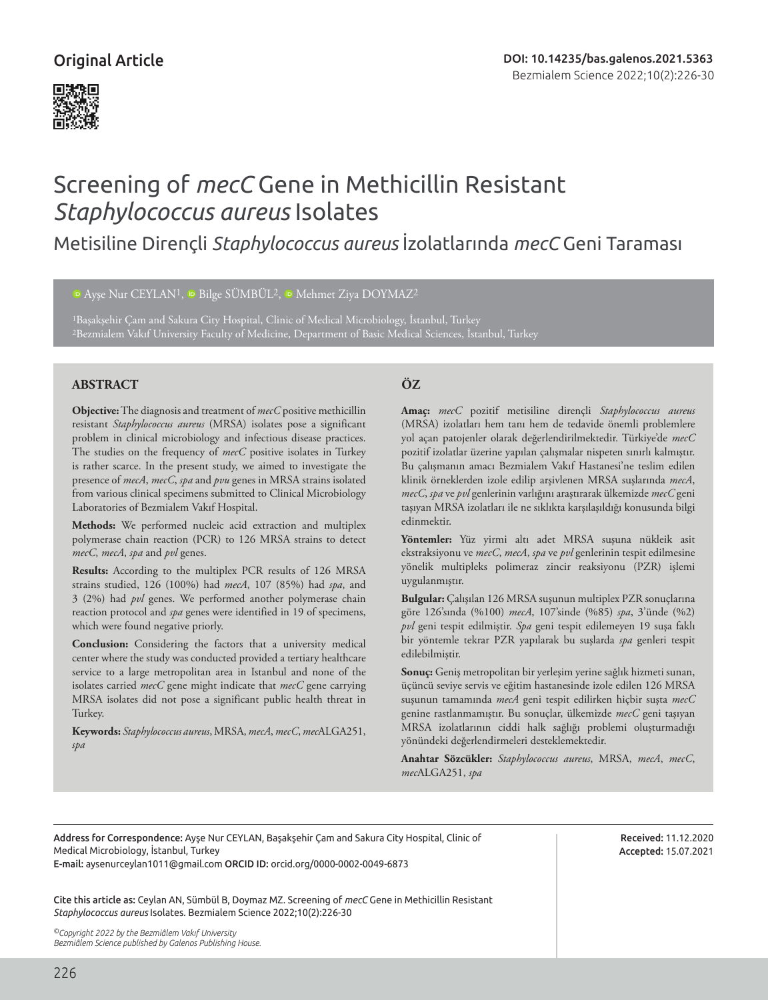

# Screening of *mecC* Gene in Methicillin Resistant *Staphylococcus aureus* Isolates

Metisiline Dirençli *Staphylococcus aureus* İzolatlarında *mecC* Geni Taraması

<sup>10</sup>Ayşe Nur CEYLAN<sup>1</sup>, <sup>10</sup> Bilge SÜMBÜL<sup>2</sup>, <sup>10</sup> Mehmet Ziya DOYMAZ<sup>2</sup>

1Başakşehir Çam and Sakura City Hospital, Clinic of Medical Microbiology, İstanbul, Turkey 2Bezmialem Vakıf University Faculty of Medicine, Department of Basic Medical Sciences, İstanbul, Turkey

# **ABSTRACT ÖZ**

**Objective:** The diagnosis and treatment of *mecC* positive methicillin resistant *Staphylococcus aureus* (MRSA) isolates pose a significant problem in clinical microbiology and infectious disease practices. The studies on the frequency of *mecC* positive isolates in Turkey is rather scarce. In the present study, we aimed to investigate the presence of *mecA*, *mecC*, *spa* and *pvu* genes in MRSA strains isolated from various clinical specimens submitted to Clinical Microbiology Laboratories of Bezmialem Vakıf Hospital.

**Methods:** We performed nucleic acid extraction and multiplex polymerase chain reaction (PCR) to 126 MRSA strains to detect *mecC*, *mecA*, *spa* and *pvl* genes.

**Results:** According to the multiplex PCR results of 126 MRSA strains studied, 126 (100%) had *mecA*, 107 (85%) had *spa*, and 3 (2%) had *pvl* genes. We performed another polymerase chain reaction protocol and *spa* genes were identified in 19 of specimens, which were found negative priorly.

**Conclusion:** Considering the factors that a university medical center where the study was conducted provided a tertiary healthcare service to a large metropolitan area in Istanbul and none of the isolates carried *mecC* gene might indicate that *mecC* gene carrying MRSA isolates did not pose a significant public health threat in Turkey.

**Keywords:** *Staphylococcus aureus*, MRSA, *mecA*, *mecC*, *mec*ALGA251, *spa*

**Amaç:** *mecC* pozitif metisiline dirençli *Staphylococcus aureus*  (MRSA) izolatları hem tanı hem de tedavide önemli problemlere yol açan patojenler olarak değerlendirilmektedir. Türkiye'de *mecC* pozitif izolatlar üzerine yapılan çalışmalar nispeten sınırlı kalmıştır. Bu çalışmanın amacı Bezmialem Vakıf Hastanesi'ne teslim edilen klinik örneklerden izole edilip arşivlenen MRSA suşlarında *mecA*, *mecC*, *spa* ve *pvl* genlerinin varlığını araştırarak ülkemizde *mecC* geni taşıyan MRSA izolatları ile ne sıklıkta karşılaşıldığı konusunda bilgi edinmektir.

**Yöntemler:** Yüz yirmi altı adet MRSA suşuna nükleik asit ekstraksiyonu ve *mecC*, *mecA*, *spa* ve *pvl* genlerinin tespit edilmesine yönelik multipleks polimeraz zincir reaksiyonu (PZR) işlemi uygulanmıştır.

**Bulgular:** Çalışılan 126 MRSA suşunun multiplex PZR sonuçlarına göre 126'sında (%100) *mecA*, 107'sinde (%85) *spa*, 3'ünde (%2) *pvl* geni tespit edilmiştir. *Spa* geni tespit edilemeyen 19 suşa faklı bir yöntemle tekrar PZR yapılarak bu suşlarda *spa* genleri tespit edilebilmiştir.

**Sonuç:** Geniş metropolitan bir yerleşim yerine sağlık hizmeti sunan, üçüncü seviye servis ve eğitim hastanesinde izole edilen 126 MRSA suşunun tamamında *mecA* geni tespit edilirken hiçbir suşta *mecC* genine rastlanmamıştır. Bu sonuçlar, ülkemizde *mecC* geni taşıyan MRSA izolatlarının ciddi halk sağlığı problemi oluşturmadığı yönündeki değerlendirmeleri desteklemektedir.

**Anahtar Sözcükler:** *Staphylococcus aureus*, MRSA, *mecA*, *mecC*, *mec*ALGA251, *spa*

Address for Correspondence: Ayşe Nur CEYLAN, Başakşehir Çam and Sakura City Hospital, Clinic of Medical Microbiology, İstanbul, Turkey E-mail: aysenurceylan1011@gmail.com ORCID ID: orcid.org/0000-0002-0049-6873

Cite this article as: Ceylan AN, Sümbül B, Doymaz MZ. Screening of *mecC* Gene in Methicillin Resistant *Staphylococcus aureus* Isolates. Bezmialem Science 2022;10(2):226-30

*©Copyright 2022 by the Bezmiâlem Vakıf University Bezmiâlem Science published by Galenos Publishing House.* Received: 11.12.2020 Accepted: 15.07.2021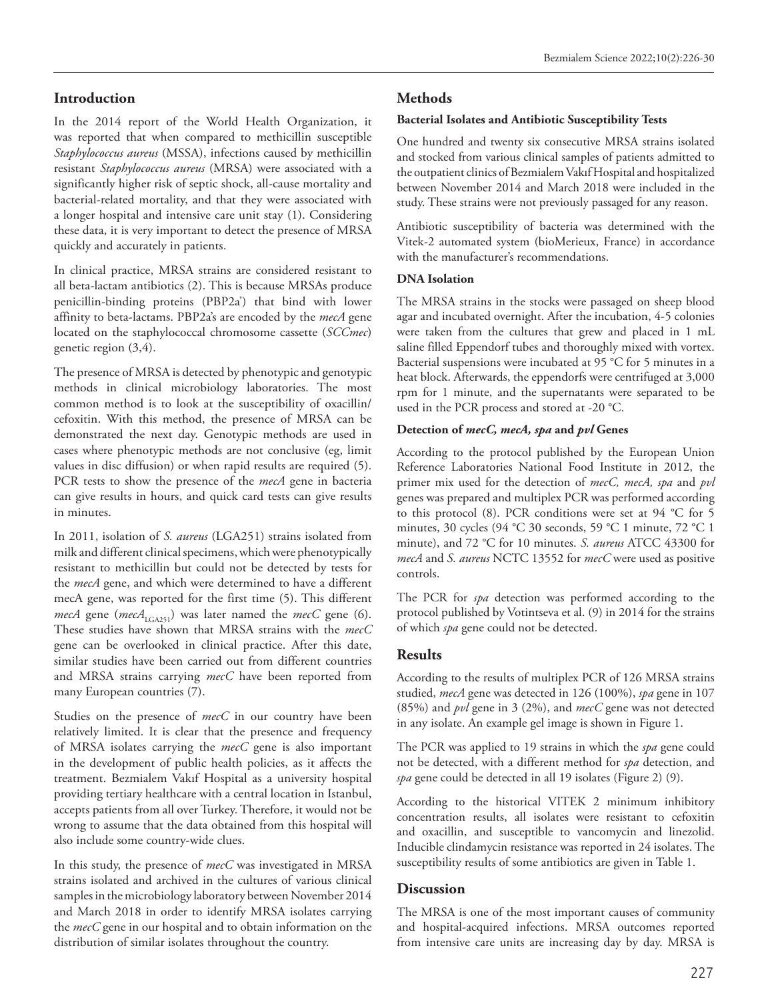# **Introduction**

In the 2014 report of the World Health Organization, it was reported that when compared to methicillin susceptible *Staphylococcus aureus* (MSSA), infections caused by methicillin resistant *Staphylococcus aureus* (MRSA) were associated with a significantly higher risk of septic shock, all-cause mortality and bacterial-related mortality, and that they were associated with a longer hospital and intensive care unit stay (1). Considering these data, it is very important to detect the presence of MRSA quickly and accurately in patients.

In clinical practice, MRSA strains are considered resistant to all beta-lactam antibiotics (2). This is because MRSAs produce penicillin-binding proteins (PBP2a') that bind with lower affinity to beta-lactams. PBP2a's are encoded by the *mecA* gene located on the staphylococcal chromosome cassette (*SCCmec*) genetic region (3,4).

The presence of MRSA is detected by phenotypic and genotypic methods in clinical microbiology laboratories. The most common method is to look at the susceptibility of oxacillin/ cefoxitin. With this method, the presence of MRSA can be demonstrated the next day. Genotypic methods are used in cases where phenotypic methods are not conclusive (eg, limit values in disc diffusion) or when rapid results are required (5). PCR tests to show the presence of the *mecA* gene in bacteria can give results in hours, and quick card tests can give results in minutes.

In 2011, isolation of *S. aureus* (LGA251) strains isolated from milk and different clinical specimens, which were phenotypically resistant to methicillin but could not be detected by tests for the *mecA* gene, and which were determined to have a different mecA gene, was reported for the first time (5). This different *mecA* gene (*mecA*<sub>LGA251</sub>) was later named the *mecC* gene (6). These studies have shown that MRSA strains with the *mecC*  gene can be overlooked in clinical practice. After this date, similar studies have been carried out from different countries and MRSA strains carrying *mecC* have been reported from many European countries (7).

Studies on the presence of *mecC* in our country have been relatively limited. It is clear that the presence and frequency of MRSA isolates carrying the *mecC* gene is also important in the development of public health policies, as it affects the treatment. Bezmialem Vakıf Hospital as a university hospital providing tertiary healthcare with a central location in Istanbul, accepts patients from all over Turkey. Therefore, it would not be wrong to assume that the data obtained from this hospital will also include some country-wide clues.

In this study, the presence of *mecC* was investigated in MRSA strains isolated and archived in the cultures of various clinical samples in the microbiology laboratory between November 2014 and March 2018 in order to identify MRSA isolates carrying the *mecC* gene in our hospital and to obtain information on the distribution of similar isolates throughout the country.

# **Methods**

## **Bacterial Isolates and Antibiotic Susceptibility Tests**

One hundred and twenty six consecutive MRSA strains isolated and stocked from various clinical samples of patients admitted to the outpatient clinics of Bezmialem Vakıf Hospital and hospitalized between November 2014 and March 2018 were included in the study. These strains were not previously passaged for any reason.

Antibiotic susceptibility of bacteria was determined with the Vitek-2 automated system (bioMerieux, France) in accordance with the manufacturer's recommendations.

### **DNA Isolation**

The MRSA strains in the stocks were passaged on sheep blood agar and incubated overnight. After the incubation, 4-5 colonies were taken from the cultures that grew and placed in 1 mL saline filled Eppendorf tubes and thoroughly mixed with vortex. Bacterial suspensions were incubated at 95 °C for 5 minutes in a heat block. Afterwards, the eppendorfs were centrifuged at 3,000 rpm for 1 minute, and the supernatants were separated to be used in the PCR process and stored at -20 °C.

# **Detection of** *mecC, mecA, spa* **and** *pvl* **Genes**

According to the protocol published by the European Union Reference Laboratories National Food Institute in 2012, the primer mix used for the detection of *mecC, mecA, spa* and *pvl* genes was prepared and multiplex PCR was performed according to this protocol (8). PCR conditions were set at 94 °C for 5 minutes, 30 cycles (94 °C 30 seconds, 59 °C 1 minute, 72 °C 1 minute), and 72 °C for 10 minutes. *S. aureus* ATCC 43300 for *mecA* and *S. aureus* NCTC 13552 for *mecC* were used as positive controls.

The PCR for *spa* detection was performed according to the protocol published by Votintseva et al. (9) in 2014 for the strains of which *spa* gene could not be detected.

# **Results**

According to the results of multiplex PCR of 126 MRSA strains studied, *mecA* gene was detected in 126 (100%), *spa* gene in 107 (85%) and *pvl* gene in 3 (2%), and *mecC* gene was not detected in any isolate. An example gel image is shown in Figure 1.

The PCR was applied to 19 strains in which the *spa* gene could not be detected, with a different method for *spa* detection, and *spa* gene could be detected in all 19 isolates (Figure 2) (9).

According to the historical VITEK 2 minimum inhibitory concentration results, all isolates were resistant to cefoxitin and oxacillin, and susceptible to vancomycin and linezolid. Inducible clindamycin resistance was reported in 24 isolates. The susceptibility results of some antibiotics are given in Table 1.

# **Discussion**

The MRSA is one of the most important causes of community and hospital-acquired infections. MRSA outcomes reported from intensive care units are increasing day by day. MRSA is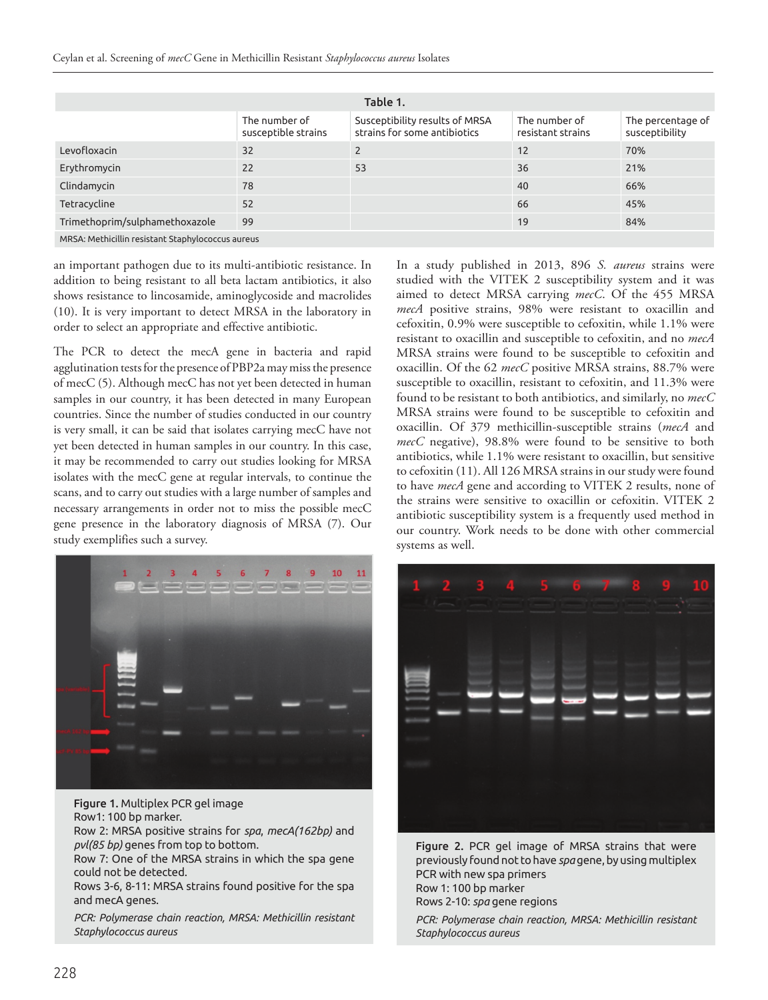| Table 1.                                          |                                      |                                                                |                                    |                                     |
|---------------------------------------------------|--------------------------------------|----------------------------------------------------------------|------------------------------------|-------------------------------------|
|                                                   | The number of<br>susceptible strains | Susceptibility results of MRSA<br>strains for some antibiotics | The number of<br>resistant strains | The percentage of<br>susceptibility |
| Levofloxacin                                      | 32                                   | $\overline{2}$                                                 | 12                                 | 70%                                 |
| Erythromycin                                      | 22                                   | 53                                                             | 36                                 | 21%                                 |
| Clindamycin                                       | 78                                   |                                                                | 40                                 | 66%                                 |
| Tetracycline                                      | 52                                   |                                                                | 66                                 | 45%                                 |
| Trimethoprim/sulphamethoxazole                    | 99                                   |                                                                | 19                                 | 84%                                 |
| MRSA: Methicillin resistant Staphylococcus aureus |                                      |                                                                |                                    |                                     |

an important pathogen due to its multi-antibiotic resistance. In addition to being resistant to all beta lactam antibiotics, it also shows resistance to lincosamide, aminoglycoside and macrolides (10). It is very important to detect MRSA in the laboratory in order to select an appropriate and effective antibiotic.

The PCR to detect the mecA gene in bacteria and rapid agglutination tests for the presence of PBP2a may miss the presence of mecC (5). Although mecC has not yet been detected in human samples in our country, it has been detected in many European countries. Since the number of studies conducted in our country is very small, it can be said that isolates carrying mecC have not yet been detected in human samples in our country. In this case, it may be recommended to carry out studies looking for MRSA isolates with the mecC gene at regular intervals, to continue the scans, and to carry out studies with a large number of samples and necessary arrangements in order not to miss the possible mecC gene presence in the laboratory diagnosis of MRSA (7). Our study exemplifies such a survey.



Figure 1. Multiplex PCR gel image Row1: 100 bp marker. Row 2: MRSA positive strains for *spa*, *mecA(162bp)* and *pvl(85 bp)* genes from top to bottom.

Row 7: One of the MRSA strains in which the spa gene could not be detected.

Rows 3-6, 8-11: MRSA strains found positive for the spa and mecA genes.

*PCR: Polymerase chain reaction, MRSA: Methicillin resistant Staphylococcus aureus*

In a study published in 2013, 896 *S. aureus* strains were studied with the VITEK 2 susceptibility system and it was aimed to detect MRSA carrying *mecC*. Of the 455 MRSA *mecA* positive strains, 98% were resistant to oxacillin and cefoxitin, 0.9% were susceptible to cefoxitin, while 1.1% were resistant to oxacillin and susceptible to cefoxitin, and no *mecA* MRSA strains were found to be susceptible to cefoxitin and oxacillin. Of the 62 *mecC* positive MRSA strains, 88.7% were susceptible to oxacillin, resistant to cefoxitin, and 11.3% were found to be resistant to both antibiotics, and similarly, no *mecC* MRSA strains were found to be susceptible to cefoxitin and oxacillin. Of 379 methicillin-susceptible strains (*mecA* and *mecC* negative), 98.8% were found to be sensitive to both antibiotics, while 1.1% were resistant to oxacillin, but sensitive to cefoxitin (11). All 126 MRSA strains in our study were found to have *mecA* gene and according to VITEK 2 results, none of the strains were sensitive to oxacillin or cefoxitin. VITEK 2 antibiotic susceptibility system is a frequently used method in our country. Work needs to be done with other commercial systems as well.



Figure 2. PCR gel image of MRSA strains that were previously found not to have *spa* gene, by using multiplex PCR with new spa primers Row 1: 100 bp marker Rows 2-10: *spa* gene regions

*PCR: Polymerase chain reaction, MRSA: Methicillin resistant Staphylococcus aureus*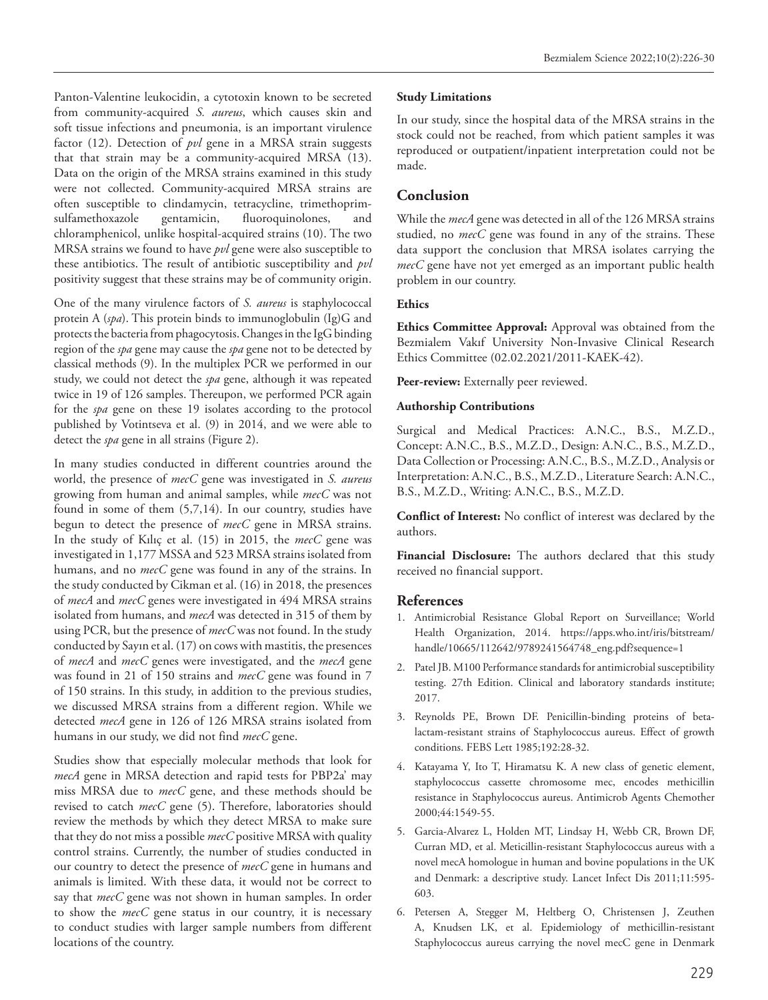Panton-Valentine leukocidin, a cytotoxin known to be secreted from community-acquired *S. aureus*, which causes skin and soft tissue infections and pneumonia, is an important virulence factor (12). Detection of *pvl* gene in a MRSA strain suggests that that strain may be a community-acquired MRSA (13). Data on the origin of the MRSA strains examined in this study were not collected. Community-acquired MRSA strains are often susceptible to clindamycin, tetracycline, trimethoprimsulfamethoxazole gentamicin, fluoroquinolones, and chloramphenicol, unlike hospital-acquired strains (10). The two MRSA strains we found to have *pvl* gene were also susceptible to these antibiotics. The result of antibiotic susceptibility and *pvl*  positivity suggest that these strains may be of community origin.

One of the many virulence factors of *S. aureus* is staphylococcal protein A (*spa*). This protein binds to immunoglobulin (Ig)G and protects the bacteria from phagocytosis. Changes in the IgG binding region of the *spa* gene may cause the *spa* gene not to be detected by classical methods (9). In the multiplex PCR we performed in our study, we could not detect the *spa* gene, although it was repeated twice in 19 of 126 samples. Thereupon, we performed PCR again for the *spa* gene on these 19 isolates according to the protocol published by Votintseva et al. (9) in 2014, and we were able to detect the *spa* gene in all strains (Figure 2).

In many studies conducted in different countries around the world, the presence of *mecC* gene was investigated in *S. aureus* growing from human and animal samples, while *mecC* was not found in some of them (5,7,14). In our country, studies have begun to detect the presence of *mecC* gene in MRSA strains. In the study of Kılıç et al. (15) in 2015, the *mecC* gene was investigated in 1,177 MSSA and 523 MRSA strains isolated from humans, and no *mecC* gene was found in any of the strains. In the study conducted by Cikman et al. (16) in 2018, the presences of *mecA* and *mecC* genes were investigated in 494 MRSA strains isolated from humans, and *mecA* was detected in 315 of them by using PCR, but the presence of *mecC* was not found. In the study conducted by Sayın et al. (17) on cows with mastitis, the presences of *mecA* and *mecC* genes were investigated, and the *mecA* gene was found in 21 of 150 strains and *mecC* gene was found in 7 of 150 strains. In this study, in addition to the previous studies, we discussed MRSA strains from a different region. While we detected *mecA* gene in 126 of 126 MRSA strains isolated from humans in our study, we did not find *mecC* gene.

Studies show that especially molecular methods that look for *mecA* gene in MRSA detection and rapid tests for PBP2a' may miss MRSA due to *mecC* gene, and these methods should be revised to catch *mecC* gene (5). Therefore, laboratories should review the methods by which they detect MRSA to make sure that they do not miss a possible *mecC* positive MRSA with quality control strains. Currently, the number of studies conducted in our country to detect the presence of *mecC* gene in humans and animals is limited. With these data, it would not be correct to say that *mecC* gene was not shown in human samples. In order to show the *mecC* gene status in our country, it is necessary to conduct studies with larger sample numbers from different locations of the country.

#### **Study Limitations**

In our study, since the hospital data of the MRSA strains in the stock could not be reached, from which patient samples it was reproduced or outpatient/inpatient interpretation could not be made.

# **Conclusion**

While the *mecA* gene was detected in all of the 126 MRSA strains studied, no *mecC* gene was found in any of the strains. These data support the conclusion that MRSA isolates carrying the *mecC* gene have not yet emerged as an important public health problem in our country.

### **Ethics**

**Ethics Committee Approval:** Approval was obtained from the Bezmialem Vakıf University Non-Invasive Clinical Research Ethics Committee (02.02.2021/2011-KAEK-42).

Peer-review: Externally peer reviewed.

#### **Authorship Contributions**

Surgical and Medical Practices: A.N.C., B.S., M.Z.D., Concept: A.N.C., B.S., M.Z.D., Design: A.N.C., B.S., M.Z.D., Data Collection or Processing: A.N.C., B.S., M.Z.D., Analysis or Interpretation: A.N.C., B.S., M.Z.D., Literature Search: A.N.C., B.S., M.Z.D., Writing: A.N.C., B.S., M.Z.D.

**Conflict of Interest:** No conflict of interest was declared by the authors.

**Financial Disclosure:** The authors declared that this study received no financial support.

### **References**

- 1. Antimicrobial Resistance Global Report on Surveillance; World Health Organization, 2014. https://apps.who.int/iris/bitstream/ handle/10665/112642/9789241564748\_eng.pdf?sequence=1
- 2. Patel JB. M100 Performance standards for antimicrobial susceptibility testing. 27th Edition. Clinical and laboratory standards institute; 2017.
- 3. Reynolds PE, Brown DF. Penicillin-binding proteins of betalactam-resistant strains of Staphylococcus aureus. Effect of growth conditions. FEBS Lett 1985;192:28-32.
- 4. Katayama Y, Ito T, Hiramatsu K. A new class of genetic element, staphylococcus cassette chromosome mec, encodes methicillin resistance in Staphylococcus aureus. Antimicrob Agents Chemother 2000;44:1549-55.
- 5. Garcia-Alvarez L, Holden MT, Lindsay H, Webb CR, Brown DF, Curran MD, et al. Meticillin-resistant Staphylococcus aureus with a novel mecA homologue in human and bovine populations in the UK and Denmark: a descriptive study. Lancet Infect Dis 2011;11:595- 603.
- 6. Petersen A, Stegger M, Heltberg O, Christensen J, Zeuthen A, Knudsen LK, et al. Epidemiology of methicillin-resistant Staphylococcus aureus carrying the novel mecC gene in Denmark